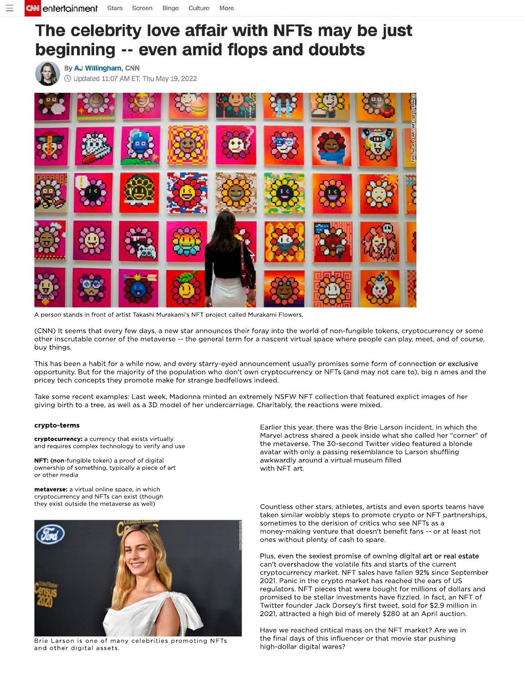# The celebrity love affair with NFTs may be just beginning -- even amid flops and doubts

By AJ Willingham, CNN © Updated 11:07 AM ET, Thu May 19, 2022



A person stands in front of artist Takashi Murakami's NFT project called Murakami Flowers.

(CNN) It seems that every few days, a new star announces their foray into the world of non-fungible tokens, cryptocurrency or some other inscrutable corner of the metaverse -- the general term for a nascent virtual space where people can play, meet, and of course, buy things.

This has been a habit for a while now, and every starry-eyed announcement usually promises some form of connection or exclusive opportunity. But for the majority of the population who don't own cryptocurrency or NFTs (and may not care to), big n ames and the pricey tech concepts they promote make for strange bedfellows indeed.

Take some recent examples: Last week, Madonna minted an extremely NSFW NFT collection that featured explict images of her giving birth to a tree, as well as a 3D model of her undercarriage. Charitably, the reactions were mixed.

#### **crypto-terms**

cryptocurrency: a currency that exists virtually and requires complex technology to verify and use

**NFT: (non-fungible token) a proof of digital** ownership of something, typically a piece of art or other media

**metaverse:** a virtual online space, in which cryptocurrency and NFTs can exist (though they exist outside the metaverse as well)



Brie Larson is one of many celebrities promoting NFTs and other digital assets.

Earlier this year, there was the Brie Larson incident, in which the Marvel actress shared a peek inside what she called her "corner" of the metaverse. The 30-second Twitter video featured a blonde avatar with only a passing resemblance to Larson shuffling awkwardly around a virtual museum filled with NFT art.

Countless other stars, athletes, artists and even sports teams have taken similar wobbly steps to promote crypto or NFT partnerships, sometimes to the derision of critics who see NFTs as a money-making venture that doesn't benefit fans -- or at least not ones without plenty of cash to spare.

Plus, even the sexiest promise of owning digital art or real estate can't overshadow the volatile fits and starts of the current cryptocurrency market. NFT sales have fallen 92% since September 2021. Panic in the crypto market has reached the ears of US regulators. NFT pieces that were bought for millions of dollars and promised to be stellar investments have fizzled. In fact, an NFT of Twitter founder Jack Dorsey's first tweet, sold for \$2.9 million in 2021, attracted a high bid of merely \$280 at an April auction.

Have we reached critical mass on the NFT market? Are we in the final days of this influencer or that movie star pushing high-dollar digital wares?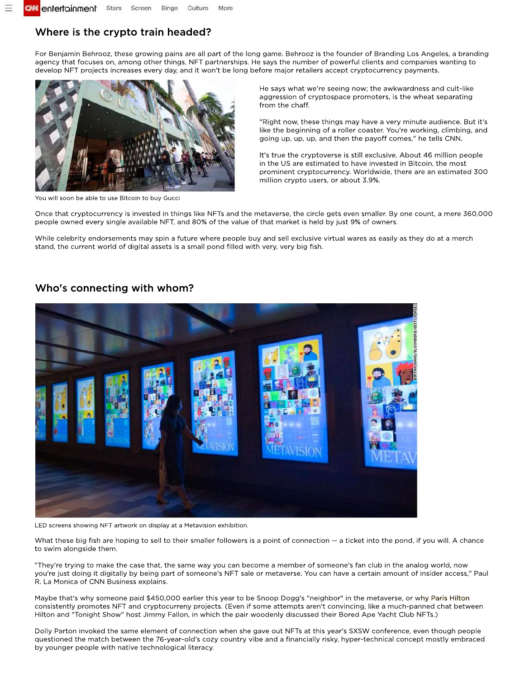# Where is the crypto train headed?

For Benjamin Behrooz, these growing pains are all part of the long game. Behrooz is the founder of Branding Los Angeles, a branding agency that focuses on, among other things, NFT partnerships. He says the number of powerful clients and companies wanting to develop NFT projects increases every day, and it won't be long before major retailers accept cryptocurrency payments.



You will soon be able to use Bitcoin to buy Gucci

He says what we're seeing now; the awkwardness and cult-like aggression of cryptospace promoters, is the wheat separating from the chaff.

"Right now, these things may have a very minute audience. But it's like the beginning of a roller coaster. You're working, climbing, and going up, up, up, and then the payoff comes," he tells CNN.

It's true the cryptoverse is still exclusive. About 46 million people in the US are estimated to have invested in Bitcoin, the most prominent cryptocurrency. Worldwide, there are an estimated 300 million crypto users, or about 3.9%.

Once that cryptocurrency is invested in things like NFTs and the metaverse, the circle gets even smaller. By one count, a mere 360,000 people owned every single available NFT, and 80% of the value of that market is held by just 9% of owners.

While celebrity endorsements may spin a future where people buy and sell exclusive virtual wares as easily as they do at a merch stand, the current world of digital assets is a small pond filled with very, very big fish.

### Who's connecting with whom?



LED screens showing NFT artwork on display at a Metavision exhibition.

What these big fish are hoping to sell to their smaller followers is a point of connection -- a ticket into the pond, if you will. A chance to swim alongside them.

"They're trying to make the case that, the same way you can become a member of someone's fan club in the analog world, now you're just doing it digitally by being part of someone's NFT sale or metaverse. You can have a certain amount of insider access," Paul R. La Monica of CNN Business explains.

Maybe that's why someone paid \$450,000 earlier this year to be Snoop Dogg's "neighbor" in the metaverse, or why Paris Hilton consistently promotes NFT and cryptocurreny projects. (Even if some attempts aren't convincing, like a much-panned chat between Hilton and "Tonight Show" host Jimmy Fallon, in which the pair woodenly discussed their Bored Ape Yacht Club NFTs.)

Dolly Parton invoked the same element of connection when she gave out NFTs at this year's SXSW conference, even though people questioned the match between the 76-year-old's cozy country vibe and a financially risky, hyper-technical concept mostly embraced by younger people with native technological literacy.